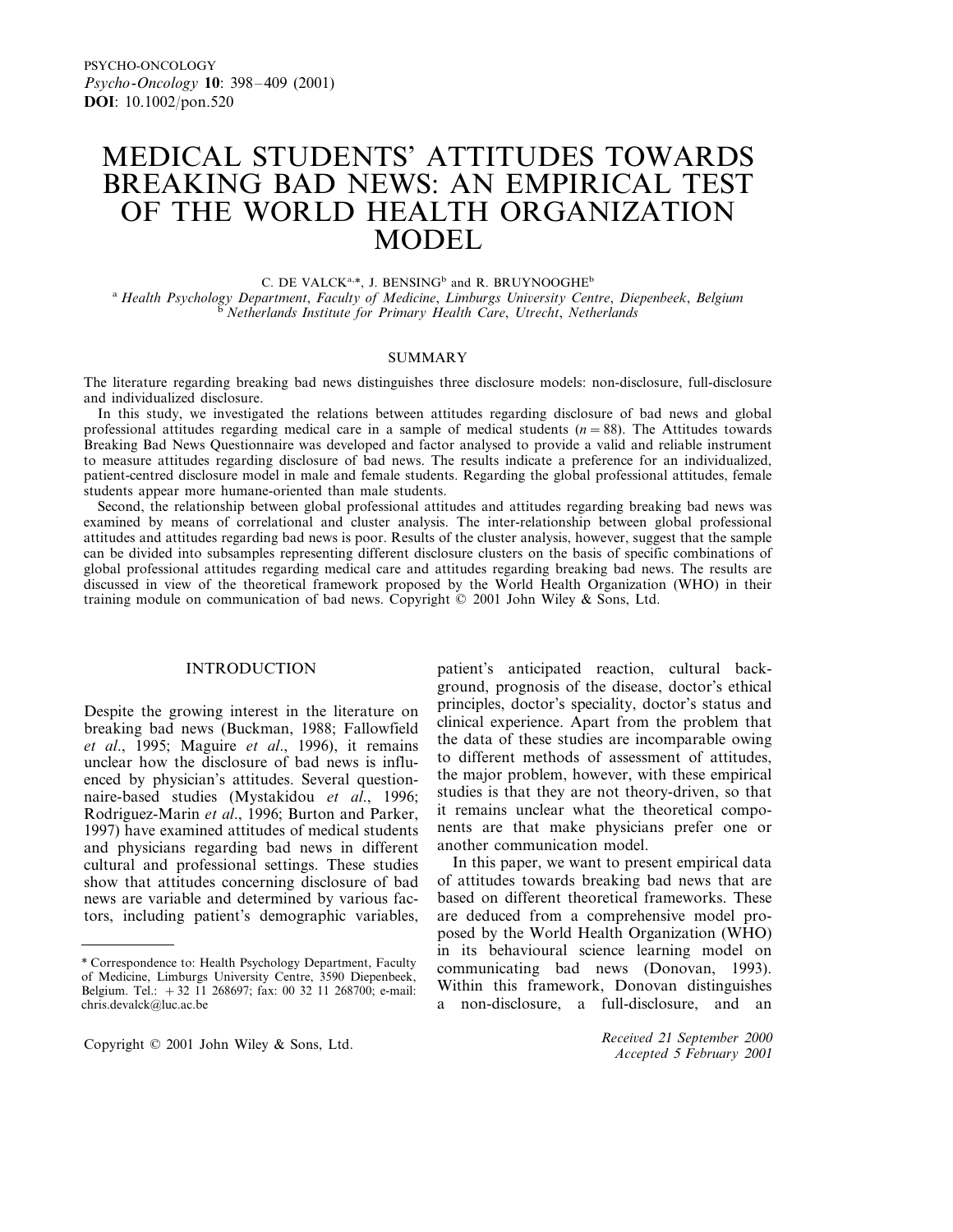# MEDICAL STUDENTS' ATTITUDES TOWARDS BREAKING BAD NEWS: AN EMPIRICAL TEST OF THE WORLD HEALTH ORGANIZATION MODEL

C. DE VALCK<sup>a,\*</sup>, J. BENSING<sup>b</sup> and R. BRUYNOOGHE<sup>b</sup>

<sup>a</sup> Health Psychology Department, Faculty of Medicine, Limburgs University Centre, Diepenbeek, Belgium<br>Netherlands Institute for Primary Health Care, Utrecht, Netherlands

#### **SUMMARY**

The literature regarding breaking bad news distinguishes three disclosure models: non-disclosure, full-disclosure and individualized disclosure.

In this study, we investigated the relations between attitudes regarding disclosure of bad news and global professional attitudes regarding medical care in a sample of medical students (*n*=88). The Attitudes towards Breaking Bad News Questionnaire was developed and factor analysed to provide a valid and reliable instrument to measure attitudes regarding disclosure of bad news. The results indicate a preference for an individualized, patient-centred disclosure model in male and female students. Regarding the global professional attitudes, female students appear more humane-oriented than male students.

Second, the relationship between global professional attitudes and attitudes regarding breaking bad news was examined by means of correlational and cluster analysis. The inter-relationship between global professional attitudes and attitudes regarding bad news is poor. Results of the cluster analysis, however, suggest that the sample can be divided into subsamples representing different disclosure clusters on the basis of specific combinations of global professional attitudes regarding medical care and attitudes regarding breaking bad news. The results are discussed in view of the theoretical framework proposed by the World Health Organization (WHO) in their training module on communication of bad news. Copyright © 2001 John Wiley & Sons, Ltd.

## INTRODUCTION

Despite the growing interest in the literature on breaking bad news (Buckman, 1988; Fallowfield *et al*., 1995; Maguire *et al*., 1996), it remains unclear how the disclosure of bad news is influenced by physician's attitudes. Several questionnaire-based studies (Mystakidou *et al*., 1996; Rodriguez-Marin *et al*., 1996; Burton and Parker, 1997) have examined attitudes of medical students and physicians regarding bad news in different cultural and professional settings. These studies show that attitudes concerning disclosure of bad news are variable and determined by various factors, including patient's demographic variables,

patient's anticipated reaction, cultural background, prognosis of the disease, doctor's ethical principles, doctor's speciality, doctor's status and clinical experience. Apart from the problem that the data of these studies are incomparable owing to different methods of assessment of attitudes, the major problem, however, with these empirical studies is that they are not theory-driven, so that it remains unclear what the theoretical components are that make physicians prefer one or another communication model.

In this paper, we want to present empirical data of attitudes towards breaking bad news that are based on different theoretical frameworks. These are deduced from a comprehensive model proposed by the World Health Organization (WHO) in its behavioural science learning model on communicating bad news (Donovan, 1993). Within this framework, Donovan distinguishes a non-disclosure, a full-disclosure, and an

Copyright © 2001 John Wiley & Sons, Ltd. *Receied* <sup>21</sup> *September* <sup>2000</sup>

*Accepted* <sup>5</sup> *February* 2001

<sup>\*</sup> Correspondence to: Health Psychology Department, Faculty of Medicine, Limburgs University Centre, 3590 Diepenbeek, Belgium. Tel.: +32 11 268697; fax: 00 32 11 268700; e-mail: chris.devalck@luc.ac.be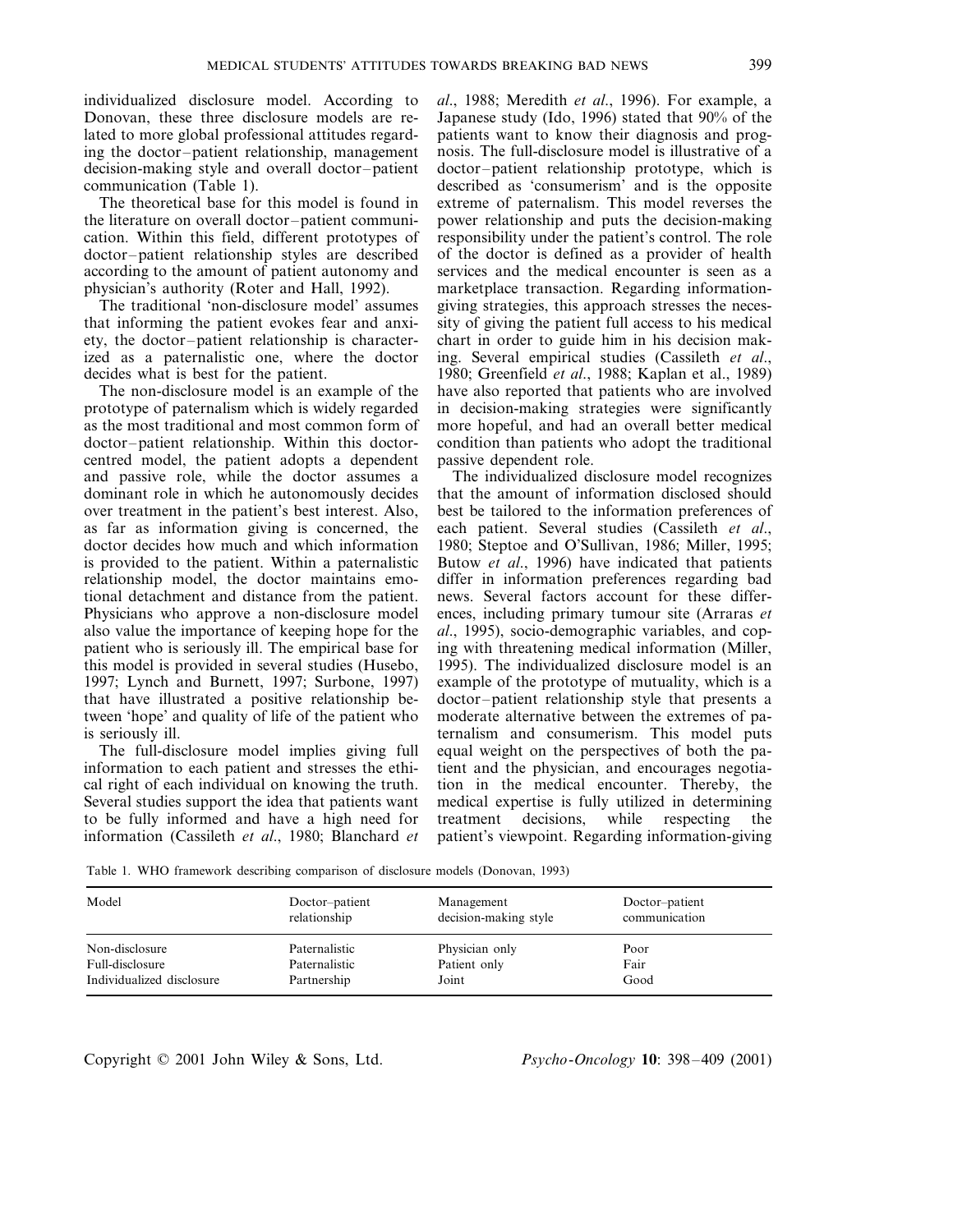individualized disclosure model. According to Donovan, these three disclosure models are related to more global professional attitudes regarding the doctor–patient relationship, management decision-making style and overall doctor–patient communication (Table 1).

The theoretical base for this model is found in the literature on overall doctor–patient communication. Within this field, different prototypes of doctor–patient relationship styles are described according to the amount of patient autonomy and physician's authority (Roter and Hall, 1992).

The traditional 'non-disclosure model' assumes that informing the patient evokes fear and anxiety, the doctor–patient relationship is characterized as a paternalistic one, where the doctor decides what is best for the patient.

The non-disclosure model is an example of the prototype of paternalism which is widely regarded as the most traditional and most common form of doctor–patient relationship. Within this doctorcentred model, the patient adopts a dependent and passive role, while the doctor assumes a dominant role in which he autonomously decides over treatment in the patient's best interest. Also, as far as information giving is concerned, the doctor decides how much and which information is provided to the patient. Within a paternalistic relationship model, the doctor maintains emotional detachment and distance from the patient. Physicians who approve a non-disclosure model also value the importance of keeping hope for the patient who is seriously ill. The empirical base for this model is provided in several studies (Husebo, 1997; Lynch and Burnett, 1997; Surbone, 1997) that have illustrated a positive relationship between 'hope' and quality of life of the patient who is seriously ill.

The full-disclosure model implies giving full information to each patient and stresses the ethical right of each individual on knowing the truth. Several studies support the idea that patients want to be fully informed and have a high need for information (Cassileth *et al*., 1980; Blanchard *et* *al*., 1988; Meredith *et al*., 1996). For example, a Japanese study (Ido, 1996) stated that 90% of the patients want to know their diagnosis and prognosis. The full-disclosure model is illustrative of a doctor–patient relationship prototype, which is described as 'consumerism' and is the opposite extreme of paternalism. This model reverses the power relationship and puts the decision-making responsibility under the patient's control. The role of the doctor is defined as a provider of health services and the medical encounter is seen as a marketplace transaction. Regarding informationgiving strategies, this approach stresses the necessity of giving the patient full access to his medical chart in order to guide him in his decision making. Several empirical studies (Cassileth *et al*., 1980; Greenfield *et al*., 1988; Kaplan et al., 1989) have also reported that patients who are involved in decision-making strategies were significantly more hopeful, and had an overall better medical condition than patients who adopt the traditional passive dependent role.

The individualized disclosure model recognizes that the amount of information disclosed should best be tailored to the information preferences of each patient. Several studies (Cassileth *et al*., 1980; Steptoe and O'Sullivan, 1986; Miller, 1995; Butow *et al*., 1996) have indicated that patients differ in information preferences regarding bad news. Several factors account for these differences, including primary tumour site (Arraras *et al*., 1995), socio-demographic variables, and coping with threatening medical information (Miller, 1995). The individualized disclosure model is an example of the prototype of mutuality, which is a doctor–patient relationship style that presents a moderate alternative between the extremes of paternalism and consumerism. This model puts equal weight on the perspectives of both the patient and the physician, and encourages negotiation in the medical encounter. Thereby, the medical expertise is fully utilized in determining treatment decisions, while respecting the patient's viewpoint. Regarding information-giving

Table 1. WHO framework describing comparison of disclosure models (Donovan, 1993)

| Model                     | Doctor-patient<br>relationship | Management<br>decision-making style | Doctor-patient<br>communication |
|---------------------------|--------------------------------|-------------------------------------|---------------------------------|
| Non-disclosure            | Paternalistic                  | Physician only                      | Poor                            |
| Full-disclosure           | Paternalistic                  | Patient only                        | Fair                            |
| Individualized disclosure | Partnership                    | Joint                               | Good                            |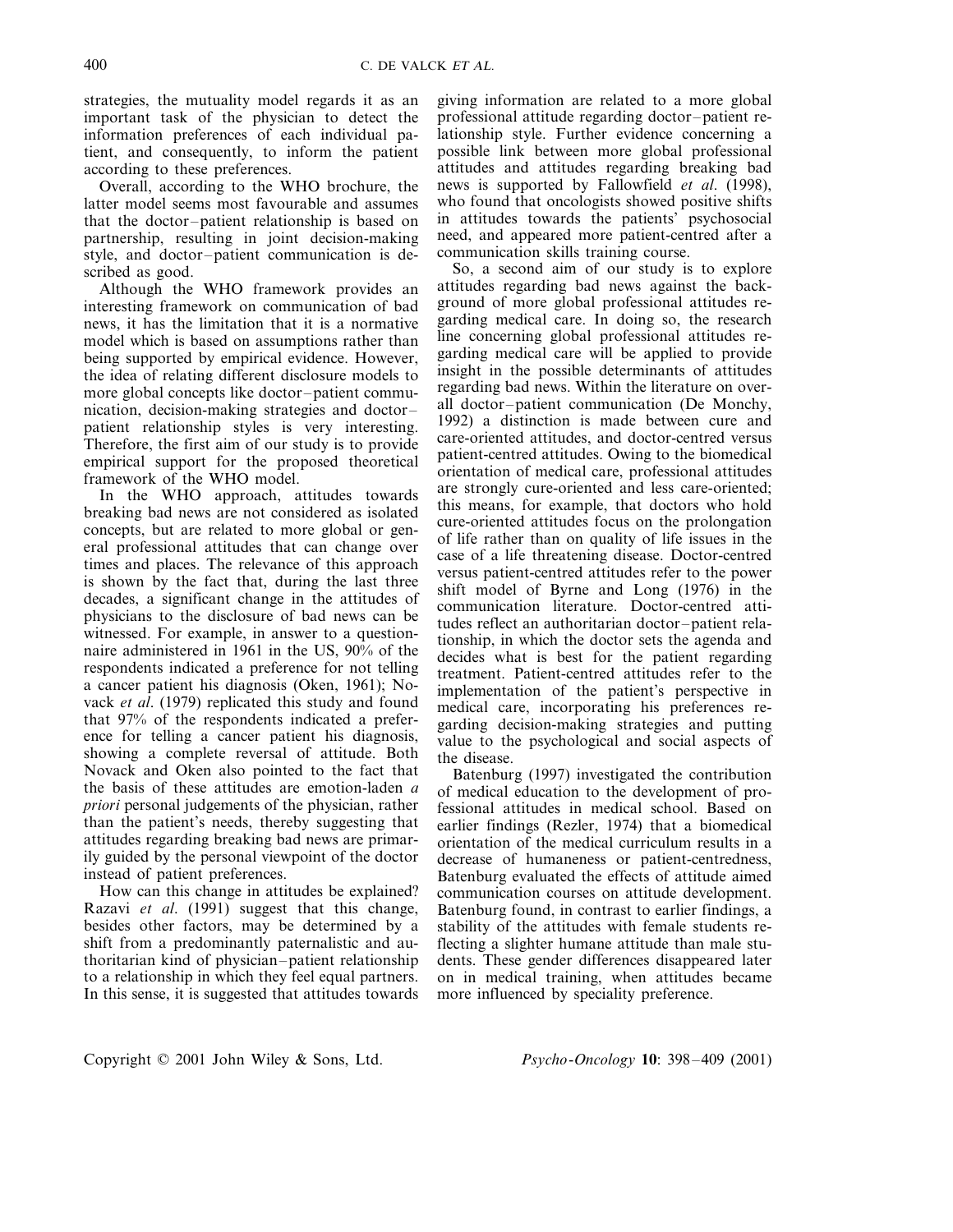strategies, the mutuality model regards it as an important task of the physician to detect the information preferences of each individual patient, and consequently, to inform the patient according to these preferences.

Overall, according to the WHO brochure, the latter model seems most favourable and assumes that the doctor–patient relationship is based on partnership, resulting in joint decision-making style, and doctor–patient communication is described as good.

Although the WHO framework provides an interesting framework on communication of bad news, it has the limitation that it is a normative model which is based on assumptions rather than being supported by empirical evidence. However, the idea of relating different disclosure models to more global concepts like doctor–patient communication, decision-making strategies and doctor– patient relationship styles is very interesting. Therefore, the first aim of our study is to provide empirical support for the proposed theoretical framework of the WHO model.

In the WHO approach, attitudes towards breaking bad news are not considered as isolated concepts, but are related to more global or general professional attitudes that can change over times and places. The relevance of this approach is shown by the fact that, during the last three decades, a significant change in the attitudes of physicians to the disclosure of bad news can be witnessed. For example, in answer to a questionnaire administered in 1961 in the US, 90% of the respondents indicated a preference for not telling a cancer patient his diagnosis (Oken, 1961); Novack *et al*. (1979) replicated this study and found that 97% of the respondents indicated a preference for telling a cancer patient his diagnosis, showing a complete reversal of attitude. Both Novack and Oken also pointed to the fact that the basis of these attitudes are emotion-laden *a priori* personal judgements of the physician, rather than the patient's needs, thereby suggesting that attitudes regarding breaking bad news are primarily guided by the personal viewpoint of the doctor instead of patient preferences.

How can this change in attitudes be explained? Razavi *et al*. (1991) suggest that this change, besides other factors, may be determined by a shift from a predominantly paternalistic and authoritarian kind of physician–patient relationship to a relationship in which they feel equal partners. In this sense, it is suggested that attitudes towards giving information are related to a more global professional attitude regarding doctor–patient relationship style. Further evidence concerning a possible link between more global professional attitudes and attitudes regarding breaking bad news is supported by Fallowfield *et al*. (1998), who found that oncologists showed positive shifts in attitudes towards the patients' psychosocial need, and appeared more patient-centred after a communication skills training course.

So, a second aim of our study is to explore attitudes regarding bad news against the background of more global professional attitudes regarding medical care. In doing so, the research line concerning global professional attitudes regarding medical care will be applied to provide insight in the possible determinants of attitudes regarding bad news. Within the literature on overall doctor–patient communication (De Monchy, 1992) a distinction is made between cure and care-oriented attitudes, and doctor-centred versus patient-centred attitudes. Owing to the biomedical orientation of medical care, professional attitudes are strongly cure-oriented and less care-oriented; this means, for example, that doctors who hold cure-oriented attitudes focus on the prolongation of life rather than on quality of life issues in the case of a life threatening disease. Doctor-centred versus patient-centred attitudes refer to the power shift model of Byrne and Long (1976) in the communication literature. Doctor-centred attitudes reflect an authoritarian doctor–patient relationship, in which the doctor sets the agenda and decides what is best for the patient regarding treatment. Patient-centred attitudes refer to the implementation of the patient's perspective in medical care, incorporating his preferences regarding decision-making strategies and putting value to the psychological and social aspects of the disease.

Batenburg (1997) investigated the contribution of medical education to the development of professional attitudes in medical school. Based on earlier findings (Rezler, 1974) that a biomedical orientation of the medical curriculum results in a decrease of humaneness or patient-centredness, Batenburg evaluated the effects of attitude aimed communication courses on attitude development. Batenburg found, in contrast to earlier findings, a stability of the attitudes with female students reflecting a slighter humane attitude than male students. These gender differences disappeared later on in medical training, when attitudes became more influenced by speciality preference.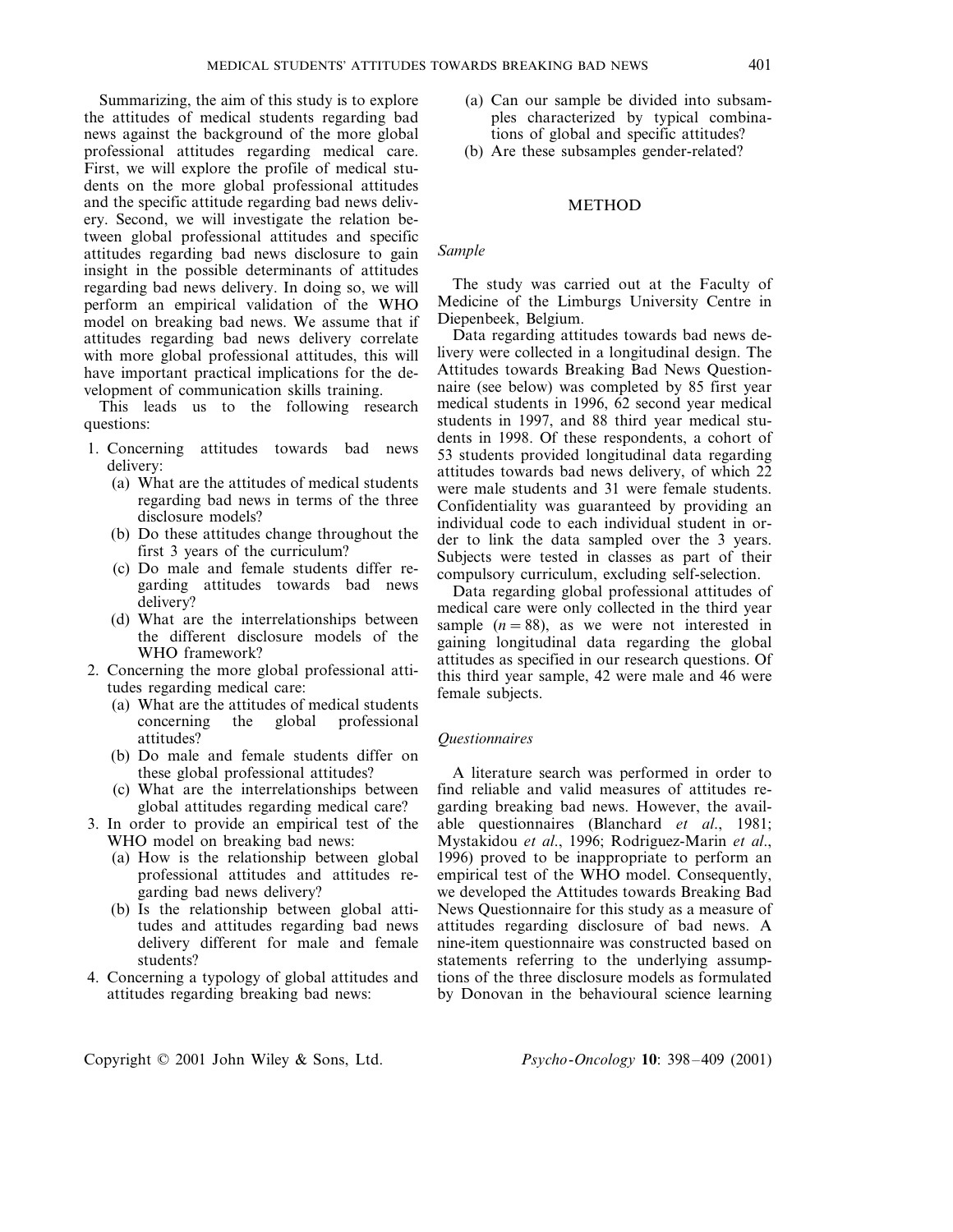Summarizing, the aim of this study is to explore the attitudes of medical students regarding bad news against the background of the more global professional attitudes regarding medical care. First, we will explore the profile of medical students on the more global professional attitudes and the specific attitude regarding bad news delivery. Second, we will investigate the relation between global professional attitudes and specific attitudes regarding bad news disclosure to gain insight in the possible determinants of attitudes regarding bad news delivery. In doing so, we will perform an empirical validation of the WHO model on breaking bad news. We assume that if attitudes regarding bad news delivery correlate with more global professional attitudes, this will have important practical implications for the development of communication skills training.

This leads us to the following research questions:

- 1. Concerning attitudes towards bad news delivery:
	- (a) What are the attitudes of medical students regarding bad news in terms of the three disclosure models?
	- (b) Do these attitudes change throughout the first 3 years of the curriculum?
	- (c) Do male and female students differ regarding attitudes towards bad news delivery?
	- (d) What are the interrelationships between the different disclosure models of the WHO framework?
- 2. Concerning the more global professional attitudes regarding medical care:
	- (a) What are the attitudes of medical students concerning the global professional attitudes?
	- (b) Do male and female students differ on these global professional attitudes?
	- (c) What are the interrelationships between global attitudes regarding medical care?
- 3. In order to provide an empirical test of the WHO model on breaking bad news:
	- (a) How is the relationship between global professional attitudes and attitudes regarding bad news delivery?
	- (b) Is the relationship between global attitudes and attitudes regarding bad news delivery different for male and female students?
- 4. Concerning a typology of global attitudes and attitudes regarding breaking bad news:
- (a) Can our sample be divided into subsamples characterized by typical combinations of global and specific attitudes?
- (b) Are these subsamples gender-related?

## METHOD

## *Sample*

The study was carried out at the Faculty of Medicine of the Limburgs University Centre in Diepenbeek, Belgium.

Data regarding attitudes towards bad news delivery were collected in a longitudinal design. The Attitudes towards Breaking Bad News Questionnaire (see below) was completed by 85 first year medical students in 1996, 62 second year medical students in 1997, and 88 third year medical students in 1998. Of these respondents, a cohort of 53 students provided longitudinal data regarding attitudes towards bad news delivery, of which 22 were male students and 31 were female students. Confidentiality was guaranteed by providing an individual code to each individual student in order to link the data sampled over the 3 years. Subjects were tested in classes as part of their compulsory curriculum, excluding self-selection.

Data regarding global professional attitudes of medical care were only collected in the third year sample  $(n=88)$ , as we were not interested in gaining longitudinal data regarding the global attitudes as specified in our research questions. Of this third year sample, 42 were male and 46 were female subjects.

#### *Questionnaires*

A literature search was performed in order to find reliable and valid measures of attitudes regarding breaking bad news. However, the available questionnaires (Blanchard *et al*., 1981; Mystakidou *et al*., 1996; Rodriguez-Marin *et al*., 1996) proved to be inappropriate to perform an empirical test of the WHO model. Consequently, we developed the Attitudes towards Breaking Bad News Questionnaire for this study as a measure of attitudes regarding disclosure of bad news. A nine-item questionnaire was constructed based on statements referring to the underlying assumptions of the three disclosure models as formulated by Donovan in the behavioural science learning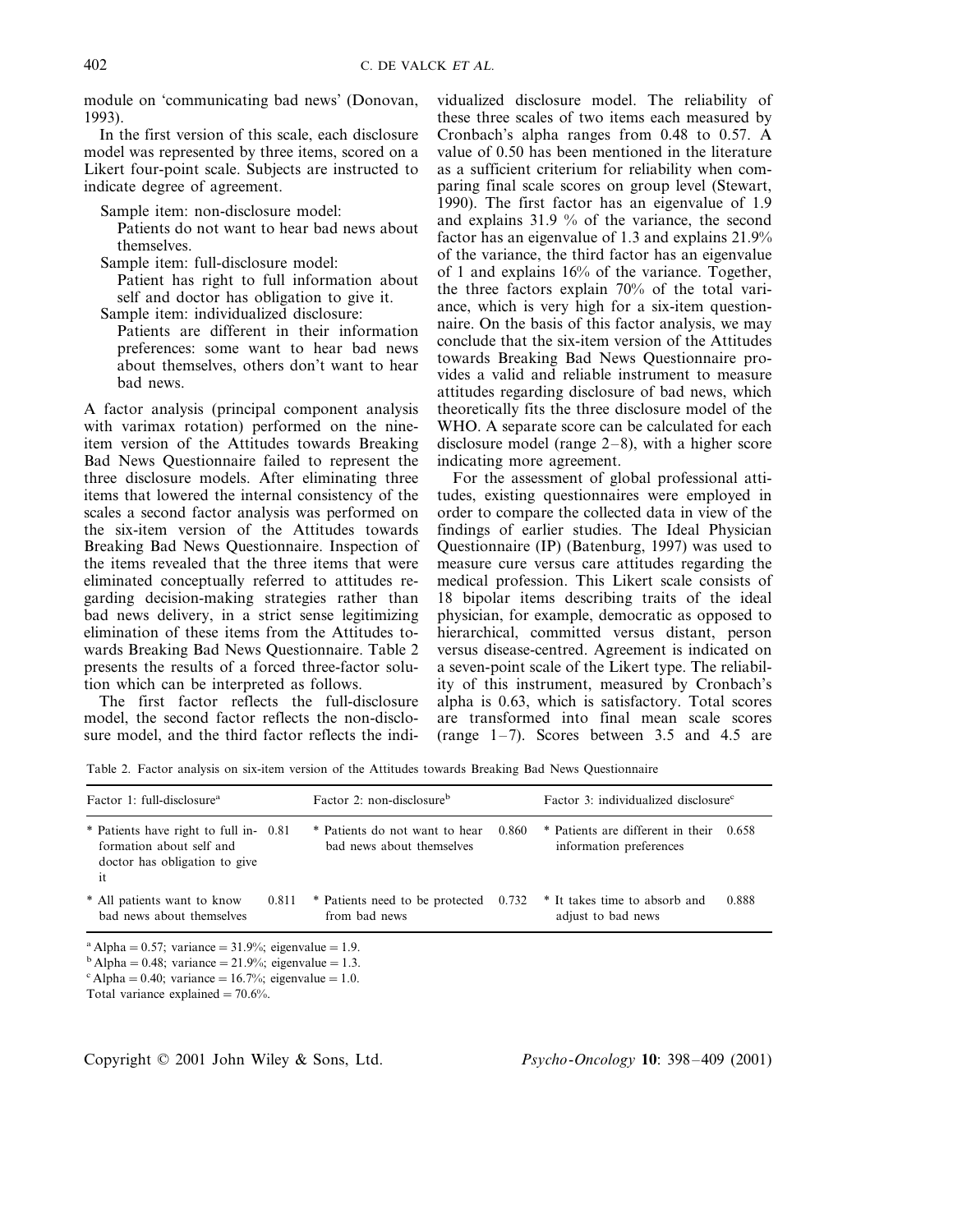module on 'communicating bad news' (Donovan, 1993).

In the first version of this scale, each disclosure model was represented by three items, scored on a Likert four-point scale. Subjects are instructed to indicate degree of agreement.

Sample item: non-disclosure model:

Patients do not want to hear bad news about themselves.

Sample item: full-disclosure model:

Patient has right to full information about self and doctor has obligation to give it. Sample item: individualized disclosure:

Patients are different in their information preferences: some want to hear bad news about themselves, others don't want to hear bad news.

A factor analysis (principal component analysis with varimax rotation) performed on the nineitem version of the Attitudes towards Breaking Bad News Questionnaire failed to represent the three disclosure models. After eliminating three items that lowered the internal consistency of the scales a second factor analysis was performed on the six-item version of the Attitudes towards Breaking Bad News Questionnaire. Inspection of the items revealed that the three items that were eliminated conceptually referred to attitudes regarding decision-making strategies rather than bad news delivery, in a strict sense legitimizing elimination of these items from the Attitudes towards Breaking Bad News Questionnaire. Table 2 presents the results of a forced three-factor solution which can be interpreted as follows.

The first factor reflects the full-disclosure model, the second factor reflects the non-disclosure model, and the third factor reflects the individualized disclosure model. The reliability of these three scales of two items each measured by Cronbach's alpha ranges from 0.48 to 0.57. A value of 0.50 has been mentioned in the literature as a sufficient criterium for reliability when comparing final scale scores on group level (Stewart, 1990). The first factor has an eigenvalue of 1.9 and explains 31.9 % of the variance, the second factor has an eigenvalue of 1.3 and explains 21.9% of the variance, the third factor has an eigenvalue of 1 and explains 16% of the variance. Together, the three factors explain 70% of the total variance, which is very high for a six-item questionnaire. On the basis of this factor analysis, we may conclude that the six-item version of the Attitudes towards Breaking Bad News Questionnaire provides a valid and reliable instrument to measure attitudes regarding disclosure of bad news, which theoretically fits the three disclosure model of the WHO. A separate score can be calculated for each disclosure model (range 2–8), with a higher score indicating more agreement.

For the assessment of global professional attitudes, existing questionnaires were employed in order to compare the collected data in view of the findings of earlier studies. The Ideal Physician Questionnaire (IP) (Batenburg, 1997) was used to measure cure versus care attitudes regarding the medical profession. This Likert scale consists of 18 bipolar items describing traits of the ideal physician, for example, democratic as opposed to hierarchical, committed versus distant, person versus disease-centred. Agreement is indicated on a seven-point scale of the Likert type. The reliability of this instrument, measured by Cronbach's alpha is 0.63, which is satisfactory. Total scores are transformed into final mean scale scores (range 1–7). Scores between 3.5 and 4.5 are

Table 2. Factor analysis on six-item version of the Attitudes towards Breaking Bad News Questionnaire

| Factor 1: full-disclosure <sup>a</sup>                                                                    | Factor 2: non-disclosure <sup>b</sup>                           |                    | Factor 3: individualized disclosure <sup>c</sup>                      |  |  |  |
|-----------------------------------------------------------------------------------------------------------|-----------------------------------------------------------------|--------------------|-----------------------------------------------------------------------|--|--|--|
| * Patients have right to full in- 0.81<br>formation about self and<br>doctor has obligation to give<br>it | * Patients do not want to hear<br>bad news about themselves     | 0.860              | * Patients are different in their<br>0.658<br>information preferences |  |  |  |
| * All patients want to know<br>bad news about themselves                                                  | * Patients need to be protected 0.732<br>0.811<br>from bad news | adjust to bad news | <sup>*</sup> It takes time to absorb and<br>0.888                     |  |  |  |

<sup>a</sup> Alpha = 0.57; variance =  $31.9\%$ ; eigenvalue = 1.9.

 $<sup>b</sup>$  Alpha = 0.48; variance = 21.9%; eigenvalue = 1.3.</sup>

 $\textdegree$  Alpha = 0.40; variance = 16.7%; eigenvalue = 1.0.

Total variance explained  $=70.6%$ .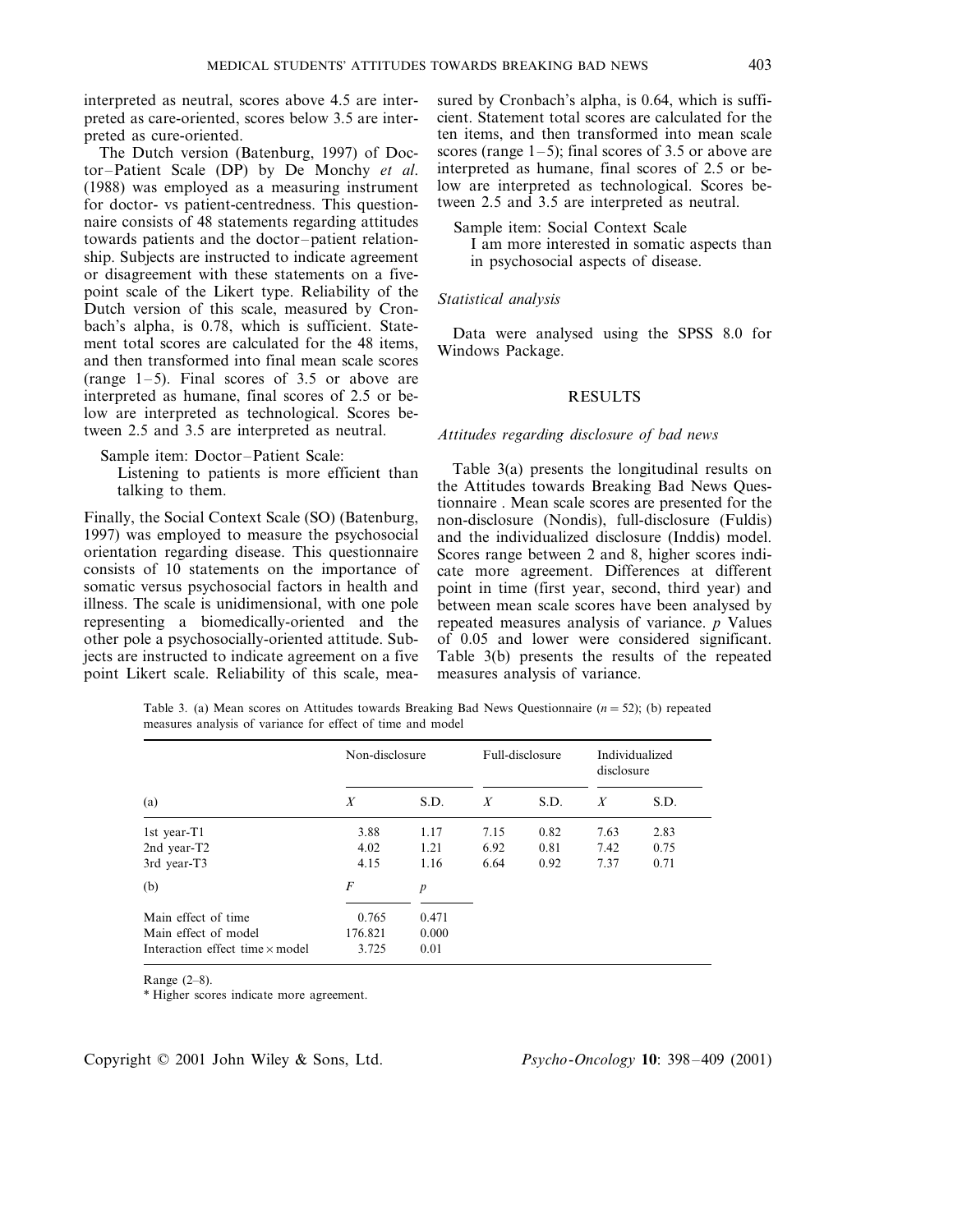interpreted as neutral, scores above 4.5 are interpreted as care-oriented, scores below 3.5 are interpreted as cure-oriented.

The Dutch version (Batenburg, 1997) of Doctor–Patient Scale (DP) by De Monchy *et al*. (1988) was employed as a measuring instrument for doctor- vs patient-centredness. This questionnaire consists of 48 statements regarding attitudes towards patients and the doctor–patient relationship. Subjects are instructed to indicate agreement or disagreement with these statements on a fivepoint scale of the Likert type. Reliability of the Dutch version of this scale, measured by Cronbach's alpha, is 0.78, which is sufficient. Statement total scores are calculated for the 48 items, and then transformed into final mean scale scores (range  $1-5$ ). Final scores of 3.5 or above are interpreted as humane, final scores of 2.5 or below are interpreted as technological. Scores between 2.5 and 3.5 are interpreted as neutral.

Sample item: Doctor–Patient Scale:

Listening to patients is more efficient than talking to them.

Finally, the Social Context Scale (SO) (Batenburg, 1997) was employed to measure the psychosocial orientation regarding disease. This questionnaire consists of 10 statements on the importance of somatic versus psychosocial factors in health and illness. The scale is unidimensional, with one pole representing a biomedically-oriented and the other pole a psychosocially-oriented attitude. Subjects are instructed to indicate agreement on a five point Likert scale. Reliability of this scale, measured by Cronbach's alpha, is 0.64, which is sufficient. Statement total scores are calculated for the ten items, and then transformed into mean scale scores (range  $1-5$ ); final scores of 3.5 or above are interpreted as humane, final scores of 2.5 or below are interpreted as technological. Scores between 2.5 and 3.5 are interpreted as neutral.

Sample item: Social Context Scale

I am more interested in somatic aspects than in psychosocial aspects of disease.

#### *Statistical analysis*

Data were analysed using the SPSS 8.0 for Windows Package.

#### RESULTS

#### *Attitudes regarding disclosure of bad news*

Table 3(a) presents the longitudinal results on the Attitudes towards Breaking Bad News Questionnaire . Mean scale scores are presented for the non-disclosure (Nondis), full-disclosure (Fuldis) and the individualized disclosure (Inddis) model. Scores range between 2 and 8, higher scores indicate more agreement. Differences at different point in time (first year, second, third year) and between mean scale scores have been analysed by repeated measures analysis of variance. *p* Values of 0.05 and lower were considered significant. Table 3(b) presents the results of the repeated measures analysis of variance.

Table 3. (a) Mean scores on Attitudes towards Breaking Bad News Questionnaire (*n*=52); (b) repeated measures analysis of variance for effect of time and model

|                                        | Non-disclosure   |                  |      | Full-disclosure | Individualized<br>disclosure |      |  |
|----------------------------------------|------------------|------------------|------|-----------------|------------------------------|------|--|
| (a)                                    | X                | S.D.             | X    | S.D.            | X                            | S.D. |  |
| 1st year-T1                            | 3.88             | 1.17             | 7.15 | 0.82            | 7.63                         | 2.83 |  |
| 2nd year-T2                            | 4.02             | 1.21             | 6.92 | 0.81            | 7.42                         | 0.75 |  |
| 3rd year-T3                            | 4.15             | 1.16             | 6.64 | 0.92            | 7.37                         | 0.71 |  |
| (b)                                    | $\boldsymbol{F}$ | $\boldsymbol{p}$ |      |                 |                              |      |  |
| Main effect of time                    | 0.765            | 0.471            |      |                 |                              |      |  |
| Main effect of model                   | 176.821          | 0.000            |      |                 |                              |      |  |
| Interaction effect time $\times$ model | 3.725            | 0.01             |      |                 |                              |      |  |

Range (2–8).

\* Higher scores indicate more agreement.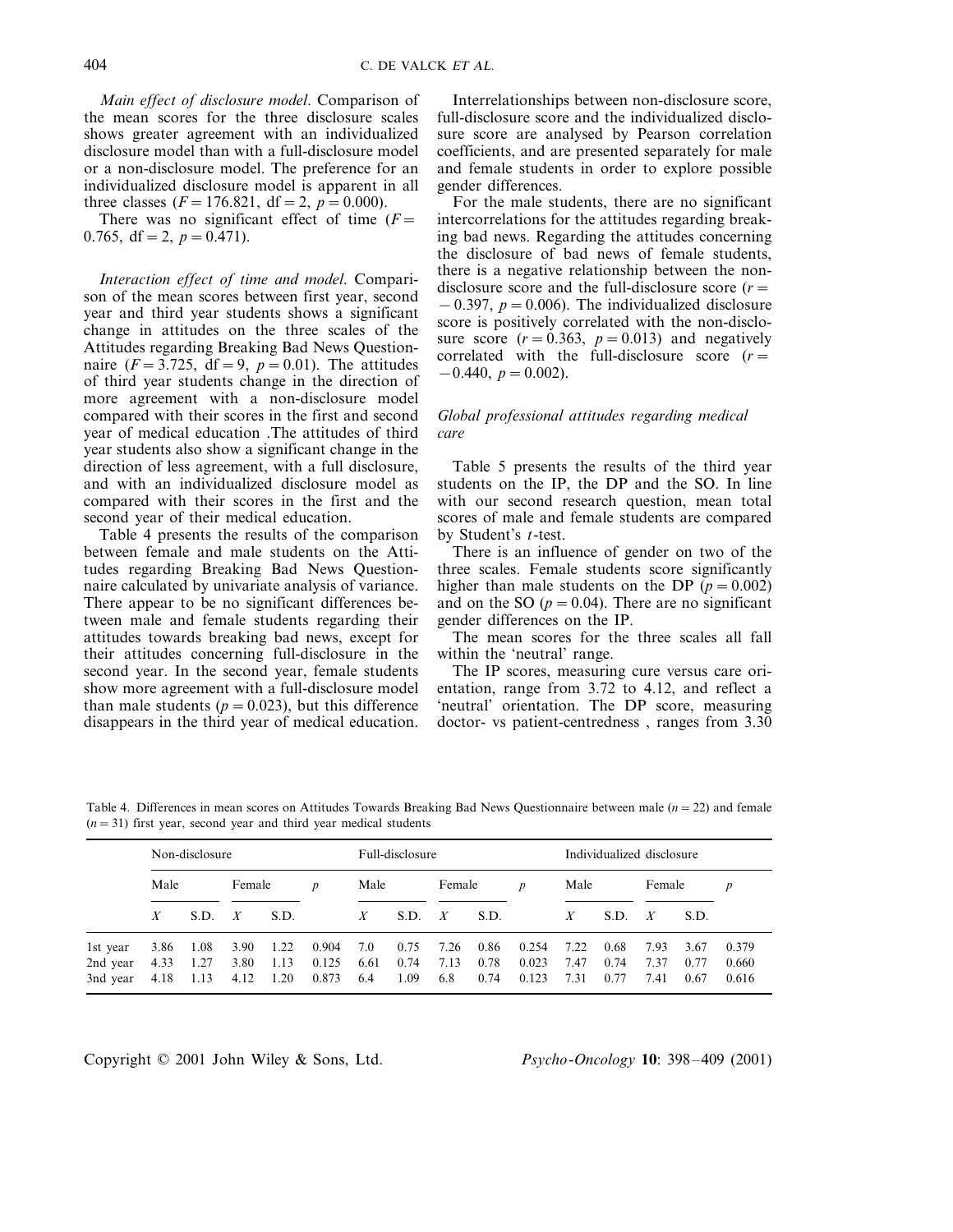*Main effect of disclosure model*. Comparison of the mean scores for the three disclosure scales shows greater agreement with an individualized disclosure model than with a full-disclosure model or a non-disclosure model. The preference for an individualized disclosure model is apparent in all three classes ( $F = 176.821$ , df = 2,  $p = 0.000$ ).

There was no significant effect of time  $(F =$ 0.765,  $df = 2$ ,  $p = 0.471$ .

*Interaction effect of time and model*. Comparison of the mean scores between first year, second year and third year students shows a significant change in attitudes on the three scales of the Attitudes regarding Breaking Bad News Questionnaire ( $F = 3.725$ , df = 9,  $p = 0.01$ ). The attitudes of third year students change in the direction of more agreement with a non-disclosure model compared with their scores in the first and second year of medical education .The attitudes of third year students also show a significant change in the direction of less agreement, with a full disclosure, and with an individualized disclosure model as compared with their scores in the first and the second year of their medical education.

Table 4 presents the results of the comparison between female and male students on the Attitudes regarding Breaking Bad News Questionnaire calculated by univariate analysis of variance. There appear to be no significant differences between male and female students regarding their attitudes towards breaking bad news, except for their attitudes concerning full-disclosure in the second year. In the second year, female students show more agreement with a full-disclosure model than male students ( $p = 0.023$ ), but this difference disappears in the third year of medical education.

Interrelationships between non-disclosure score, full-disclosure score and the individualized disclosure score are analysed by Pearson correlation coefficients, and are presented separately for male and female students in order to explore possible gender differences.

For the male students, there are no significant intercorrelations for the attitudes regarding breaking bad news. Regarding the attitudes concerning the disclosure of bad news of female students, there is a negative relationship between the nondisclosure score and the full-disclosure score  $(r =$  $-0.397$ ,  $p = 0.006$ ). The individualized disclosure score is positively correlated with the non-disclosure score  $(r = 0.363, p = 0.013)$  and negatively correlated with the full-disclosure score  $(r=$  $-0.440, p=0.002$ .

### *Global professional attitudes regarding medical care*

Table 5 presents the results of the third year students on the IP, the DP and the SO. In line with our second research question, mean total scores of male and female students are compared by Student's *t*-test.

There is an influence of gender on two of the three scales. Female students score significantly higher than male students on the DP  $(p = 0.002)$ and on the SO  $(p = 0.04)$ . There are no significant gender differences on the IP.

The mean scores for the three scales all fall within the 'neutral' range.

The IP scores, measuring cure versus care orientation, range from 3.72 to 4.12, and reflect a 'neutral' orientation. The DP score, measuring doctor- vs patient-centredness , ranges from 3.30

Table 4. Differences in mean scores on Attitudes Towards Breaking Bad News Questionnaire between male (*n*=22) and female  $(n=31)$  first year, second year and third year medical students

|                                  | Non-disclosure       |                      |                      |                      | Full-disclosure         |                    |                      |                     |                      | Individualized disclosure |                      |                      |                      |                      |                         |
|----------------------------------|----------------------|----------------------|----------------------|----------------------|-------------------------|--------------------|----------------------|---------------------|----------------------|---------------------------|----------------------|----------------------|----------------------|----------------------|-------------------------|
|                                  | Male                 |                      | Female               |                      | D                       | Male               |                      | Female              |                      | D                         | Male                 |                      | Female               |                      | $\boldsymbol{p}$        |
|                                  | X                    | S.D.                 | $\boldsymbol{X}$     | S.D.                 |                         | X                  | S.D.                 | $\boldsymbol{X}$    | S.D.                 |                           | X                    | S.D.                 | $\boldsymbol{X}$     | S.D.                 |                         |
| 1st year<br>2nd year<br>3nd year | 3.86<br>4.33<br>4.18 | 1.08<br>1.27<br>1.13 | 3.90<br>3.80<br>4.12 | 1.22<br>1.13<br>1.20 | 0.904<br>0.125<br>0.873 | 7.0<br>6.61<br>6.4 | 0.75<br>0.74<br>1.09 | 7.26<br>7.13<br>6.8 | 0.86<br>0.78<br>0.74 | 0.254<br>0.023<br>0.123   | 7.22<br>7.47<br>7.31 | 0.68<br>0.74<br>0.77 | 7.93<br>7.37<br>7.41 | 3.67<br>0.77<br>0.67 | 0.379<br>0.660<br>0.616 |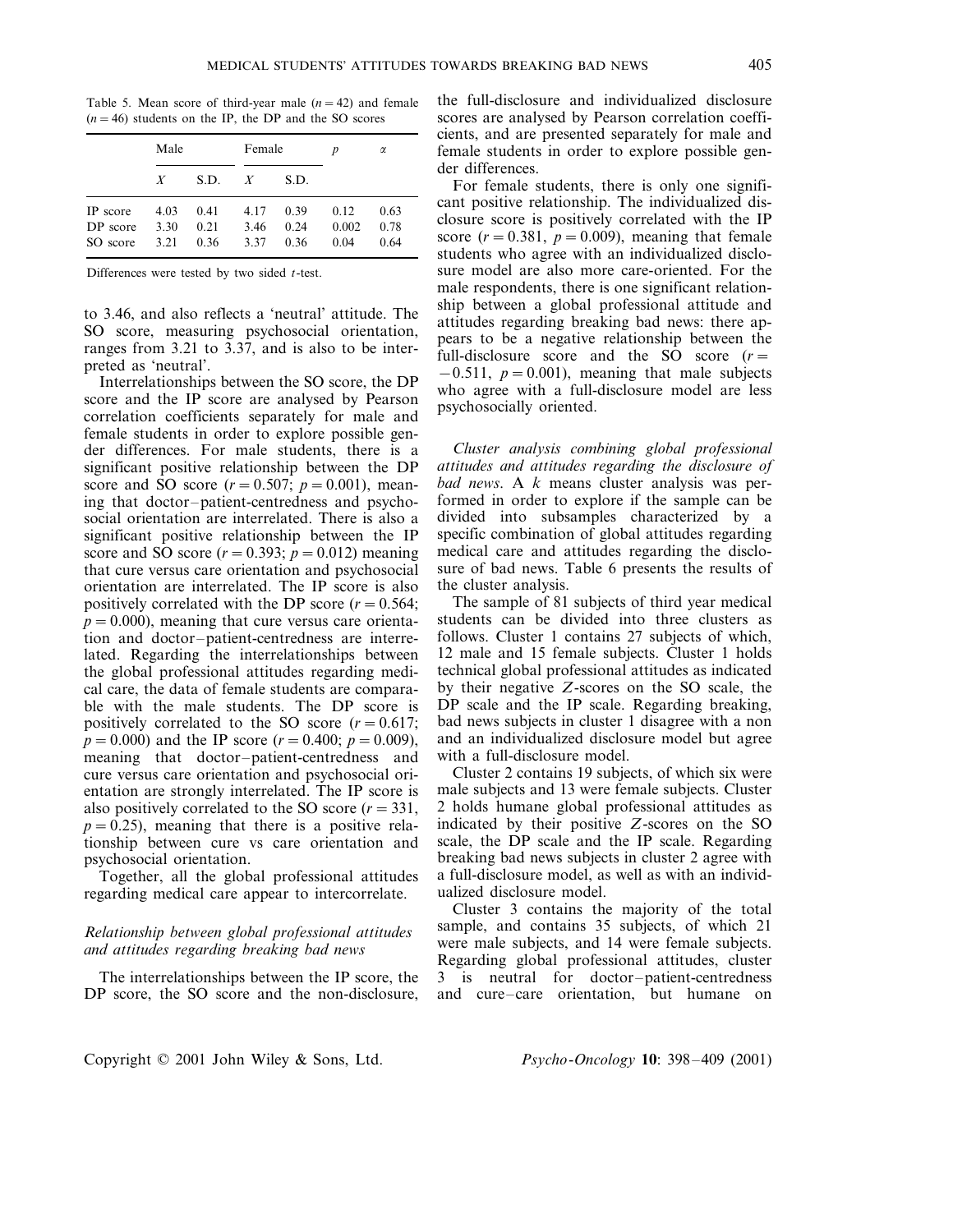Table 5. Mean score of third-year male  $(n=42)$  and female  $(n=46)$  students on the IP, the DP and the SO scores

|                                  | Male                 |                      | Female               |                      | D                     | α                    |
|----------------------------------|----------------------|----------------------|----------------------|----------------------|-----------------------|----------------------|
|                                  | X                    | S.D.                 | $\boldsymbol{X}$     | S.D.                 |                       |                      |
| IP score<br>DP score<br>SO score | 4.03<br>3.30<br>3.21 | 0.41<br>0.21<br>0.36 | 4.17<br>3.46<br>3.37 | 0.39<br>0.24<br>0.36 | 0.12<br>0.002<br>0.04 | 0.63<br>0.78<br>0.64 |

Differences were tested by two sided *t*-test.

to 3.46, and also reflects a 'neutral' attitude. The SO score, measuring psychosocial orientation, ranges from 3.21 to 3.37, and is also to be interpreted as 'neutral'.

Interrelationships between the SO score, the DP score and the IP score are analysed by Pearson correlation coefficients separately for male and female students in order to explore possible gender differences. For male students, there is a significant positive relationship between the DP score and SO score  $(r = 0.507; p = 0.001)$ , meaning that doctor–patient-centredness and psychosocial orientation are interrelated. There is also a significant positive relationship between the IP score and SO score  $(r = 0.393; p = 0.012)$  meaning that cure versus care orientation and psychosocial orientation are interrelated. The IP score is also positively correlated with the DP score  $(r = 0.564)$ ;  $p = 0.000$ , meaning that cure versus care orientation and doctor–patient-centredness are interrelated. Regarding the interrelationships between the global professional attitudes regarding medical care, the data of female students are comparable with the male students. The DP score is positively correlated to the SO score  $(r = 0.617)$ ;  $p = 0.000$ ) and the IP score ( $r = 0.400$ ;  $p = 0.009$ ), meaning that doctor–patient-centredness and cure versus care orientation and psychosocial orientation are strongly interrelated. The IP score is also positively correlated to the SO score  $(r = 331,$  $p=0.25$ ), meaning that there is a positive relationship between cure vs care orientation and psychosocial orientation.

Together, all the global professional attitudes regarding medical care appear to intercorrelate.

#### *Relationship between global professional attitudes and attitudes regarding breaking bad news*

The interrelationships between the IP score, the DP score, the SO score and the non-disclosure, the full-disclosure and individualized disclosure scores are analysed by Pearson correlation coefficients, and are presented separately for male and female students in order to explore possible gender differences.

For female students, there is only one significant positive relationship. The individualized disclosure score is positively correlated with the IP score  $(r = 0.381, p = 0.009)$ , meaning that female students who agree with an individualized disclosure model are also more care-oriented. For the male respondents, there is one significant relationship between a global professional attitude and attitudes regarding breaking bad news: there appears to be a negative relationship between the full-disclosure score and the  $S\overline{O}$  score  $(r=$  $-0.511$ ,  $p = 0.001$ ), meaning that male subjects who agree with a full-disclosure model are less psychosocially oriented.

*Cluster analysis combining global professional attitudes and attitudes regarding the disclosure of bad news*. A *k* means cluster analysis was performed in order to explore if the sample can be divided into subsamples characterized by a specific combination of global attitudes regarding medical care and attitudes regarding the disclosure of bad news. Table 6 presents the results of the cluster analysis.

The sample of 81 subjects of third year medical students can be divided into three clusters as follows. Cluster 1 contains 27 subjects of which, 12 male and 15 female subjects. Cluster 1 holds technical global professional attitudes as indicated by their negative *Z*-scores on the SO scale, the DP scale and the IP scale. Regarding breaking, bad news subjects in cluster 1 disagree with a non and an individualized disclosure model but agree with a full-disclosure model.

Cluster 2 contains 19 subjects, of which six were male subjects and 13 were female subjects. Cluster 2 holds humane global professional attitudes as indicated by their positive *Z*-scores on the SO scale, the DP scale and the IP scale. Regarding breaking bad news subjects in cluster 2 agree with a full-disclosure model, as well as with an individualized disclosure model.

Cluster 3 contains the majority of the total sample, and contains 35 subjects, of which 21 were male subjects, and 14 were female subjects. Regarding global professional attitudes, cluster 3 is neutral for doctor–patient-centredness and cure–care orientation, but humane on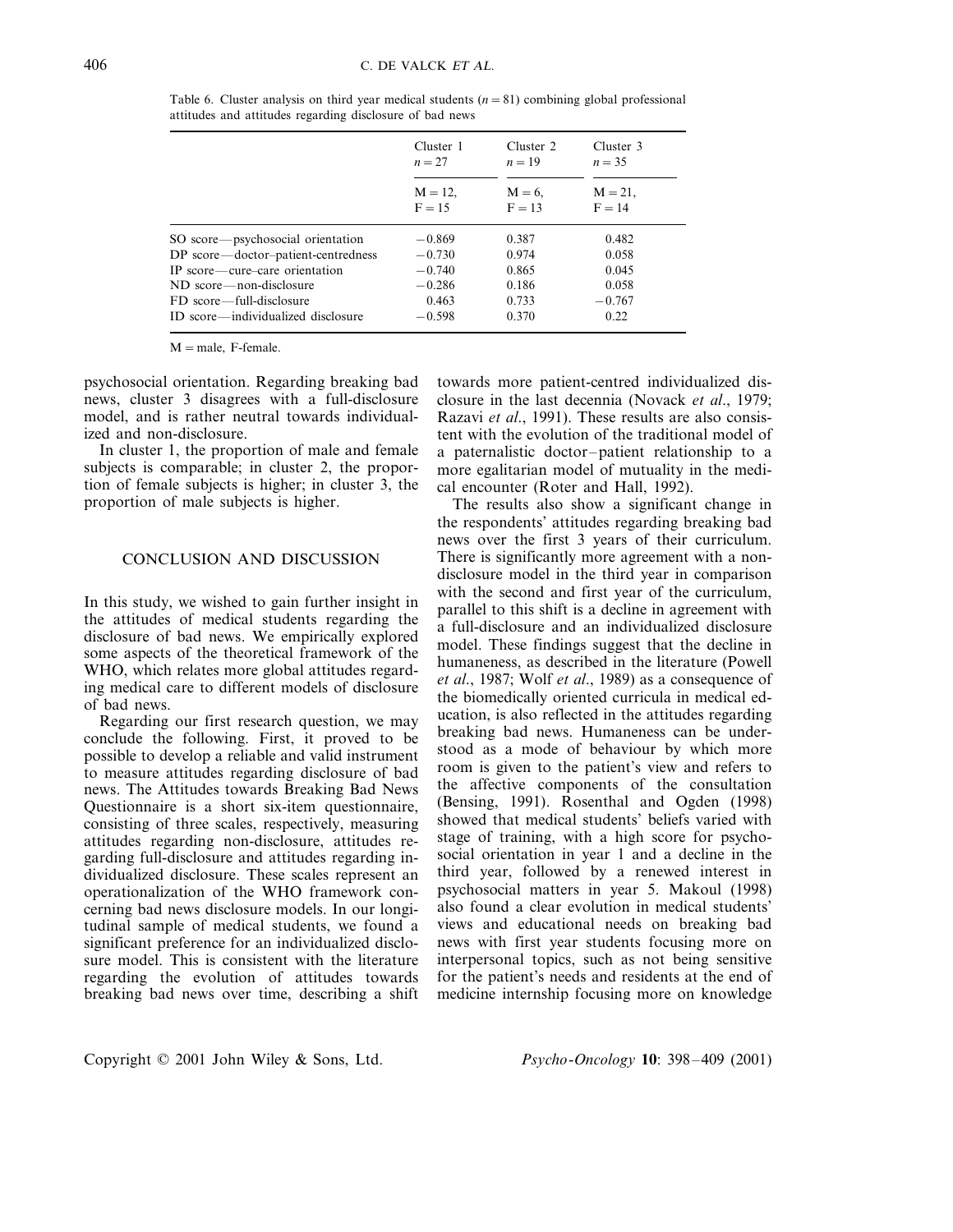|                                     | Cluster 1<br>$n=27$    | Cluster 2<br>$n=19$   | Cluster 3<br>$n = 35$  |
|-------------------------------------|------------------------|-----------------------|------------------------|
|                                     | $M = 12$ ,<br>$F = 15$ | $M = 6$ ,<br>$F = 13$ | $M = 21$ ,<br>$F = 14$ |
| SO score—psychosocial orientation   | $-0.869$               | 0.387                 | 0.482                  |
| DP score—doctor-patient-centredness | $-0.730$               | 0.974                 | 0.058                  |
| IP score—cure–care orientation      | $-0.740$               | 0.865                 | 0.045                  |
| ND score—non-disclosure             | $-0.286$               | 0.186                 | 0.058                  |
| FD score—full-disclosure            | 0.463                  | 0.733                 | $-0.767$               |
| ID score—individualized disclosure  | $-0.598$               | 0.370                 | 0.22                   |

Table 6. Cluster analysis on third year medical students  $(n=81)$  combining global professional attitudes and attitudes regarding disclosure of bad news

 $M = male$ , F-female.

psychosocial orientation. Regarding breaking bad news, cluster 3 disagrees with a full-disclosure model, and is rather neutral towards individualized and non-disclosure.

In cluster 1, the proportion of male and female subjects is comparable; in cluster 2, the proportion of female subjects is higher; in cluster 3, the proportion of male subjects is higher.

### CONCLUSION AND DISCUSSION

In this study, we wished to gain further insight in the attitudes of medical students regarding the disclosure of bad news. We empirically explored some aspects of the theoretical framework of the WHO, which relates more global attitudes regarding medical care to different models of disclosure of bad news.

Regarding our first research question, we may conclude the following. First, it proved to be possible to develop a reliable and valid instrument to measure attitudes regarding disclosure of bad news. The Attitudes towards Breaking Bad News Questionnaire is a short six-item questionnaire, consisting of three scales, respectively, measuring attitudes regarding non-disclosure, attitudes regarding full-disclosure and attitudes regarding individualized disclosure. These scales represent an operationalization of the WHO framework concerning bad news disclosure models. In our longitudinal sample of medical students, we found a significant preference for an individualized disclosure model. This is consistent with the literature regarding the evolution of attitudes towards breaking bad news over time, describing a shift

towards more patient-centred individualized disclosure in the last decennia (Novack *et al*., 1979; Razavi *et al*., 1991). These results are also consistent with the evolution of the traditional model of a paternalistic doctor–patient relationship to a more egalitarian model of mutuality in the medical encounter (Roter and Hall, 1992).

The results also show a significant change in the respondents' attitudes regarding breaking bad news over the first 3 years of their curriculum. There is significantly more agreement with a nondisclosure model in the third year in comparison with the second and first year of the curriculum, parallel to this shift is a decline in agreement with a full-disclosure and an individualized disclosure model. These findings suggest that the decline in humaneness, as described in the literature (Powell *et al*., 1987; Wolf *et al*., 1989) as a consequence of the biomedically oriented curricula in medical education, is also reflected in the attitudes regarding breaking bad news. Humaneness can be understood as a mode of behaviour by which more room is given to the patient's view and refers to the affective components of the consultation (Bensing, 1991). Rosenthal and Ogden (1998) showed that medical students' beliefs varied with stage of training, with a high score for psychosocial orientation in year 1 and a decline in the third year, followed by a renewed interest in psychosocial matters in year 5. Makoul (1998) also found a clear evolution in medical students' views and educational needs on breaking bad news with first year students focusing more on interpersonal topics, such as not being sensitive for the patient's needs and residents at the end of medicine internship focusing more on knowledge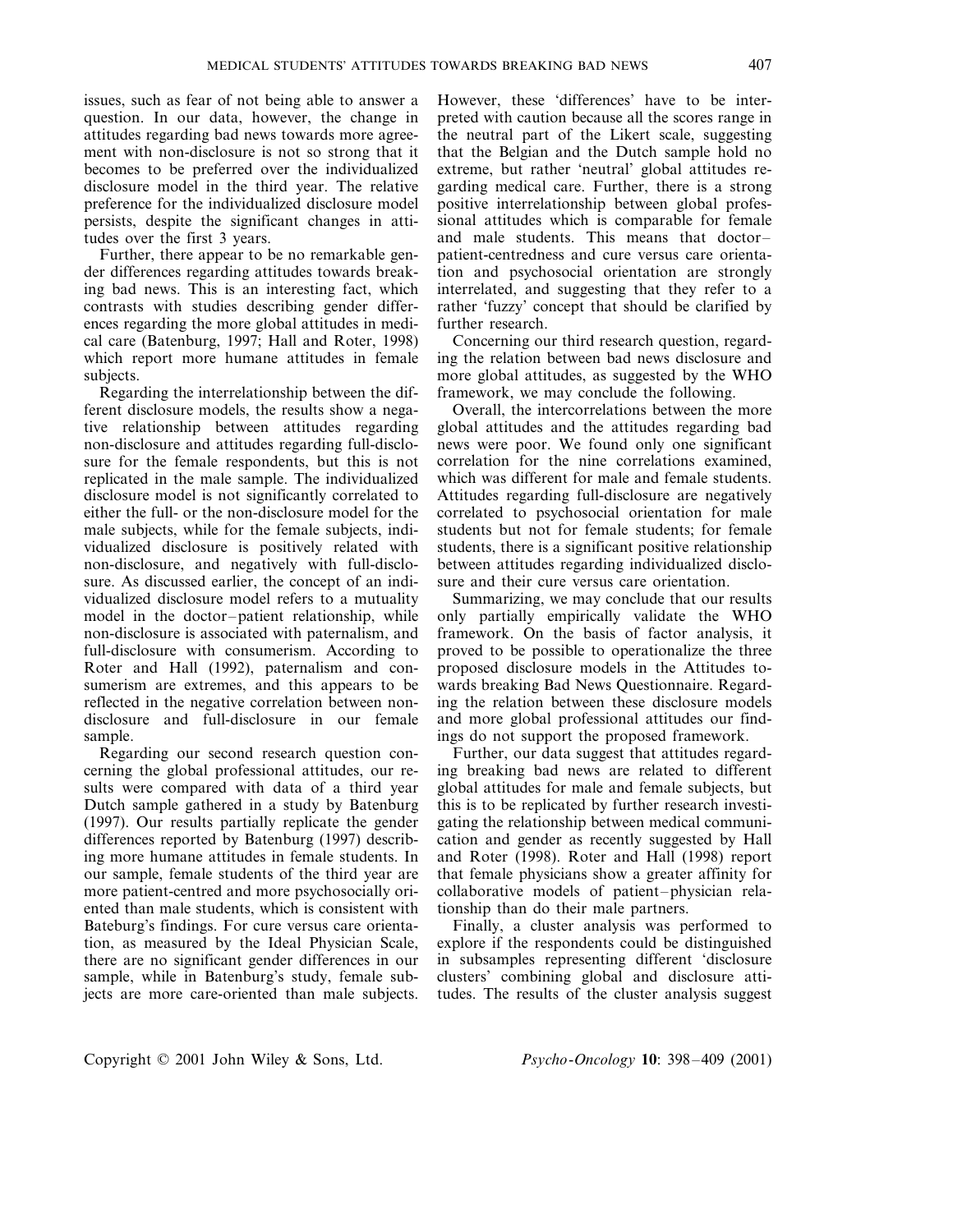issues, such as fear of not being able to answer a question. In our data, however, the change in attitudes regarding bad news towards more agreement with non-disclosure is not so strong that it becomes to be preferred over the individualized disclosure model in the third year. The relative preference for the individualized disclosure model persists, despite the significant changes in attitudes over the first 3 years.

Further, there appear to be no remarkable gender differences regarding attitudes towards breaking bad news. This is an interesting fact, which contrasts with studies describing gender differences regarding the more global attitudes in medical care (Batenburg, 1997; Hall and Roter, 1998) which report more humane attitudes in female subjects.

Regarding the interrelationship between the different disclosure models, the results show a negative relationship between attitudes regarding non-disclosure and attitudes regarding full-disclosure for the female respondents, but this is not replicated in the male sample. The individualized disclosure model is not significantly correlated to either the full- or the non-disclosure model for the male subjects, while for the female subjects, individualized disclosure is positively related with non-disclosure, and negatively with full-disclosure. As discussed earlier, the concept of an individualized disclosure model refers to a mutuality model in the doctor–patient relationship, while non-disclosure is associated with paternalism, and full-disclosure with consumerism. According to Roter and Hall (1992), paternalism and consumerism are extremes, and this appears to be reflected in the negative correlation between nondisclosure and full-disclosure in our female sample.

Regarding our second research question concerning the global professional attitudes, our results were compared with data of a third year Dutch sample gathered in a study by Batenburg (1997). Our results partially replicate the gender differences reported by Batenburg (1997) describing more humane attitudes in female students. In our sample, female students of the third year are more patient-centred and more psychosocially oriented than male students, which is consistent with Bateburg's findings. For cure versus care orientation, as measured by the Ideal Physician Scale, there are no significant gender differences in our sample, while in Batenburg's study, female subjects are more care-oriented than male subjects. However, these 'differences' have to be interpreted with caution because all the scores range in the neutral part of the Likert scale, suggesting that the Belgian and the Dutch sample hold no extreme, but rather 'neutral' global attitudes regarding medical care. Further, there is a strong positive interrelationship between global professional attitudes which is comparable for female and male students. This means that doctor– patient-centredness and cure versus care orientation and psychosocial orientation are strongly interrelated, and suggesting that they refer to a rather 'fuzzy' concept that should be clarified by further research.

Concerning our third research question, regarding the relation between bad news disclosure and more global attitudes, as suggested by the WHO framework, we may conclude the following.

Overall, the intercorrelations between the more global attitudes and the attitudes regarding bad news were poor. We found only one significant correlation for the nine correlations examined, which was different for male and female students. Attitudes regarding full-disclosure are negatively correlated to psychosocial orientation for male students but not for female students; for female students, there is a significant positive relationship between attitudes regarding individualized disclosure and their cure versus care orientation.

Summarizing, we may conclude that our results only partially empirically validate the WHO framework. On the basis of factor analysis, it proved to be possible to operationalize the three proposed disclosure models in the Attitudes towards breaking Bad News Questionnaire. Regarding the relation between these disclosure models and more global professional attitudes our findings do not support the proposed framework.

Further, our data suggest that attitudes regarding breaking bad news are related to different global attitudes for male and female subjects, but this is to be replicated by further research investigating the relationship between medical communication and gender as recently suggested by Hall and Roter (1998). Roter and Hall (1998) report that female physicians show a greater affinity for collaborative models of patient–physician relationship than do their male partners.

Finally, a cluster analysis was performed to explore if the respondents could be distinguished in subsamples representing different 'disclosure clusters' combining global and disclosure attitudes. The results of the cluster analysis suggest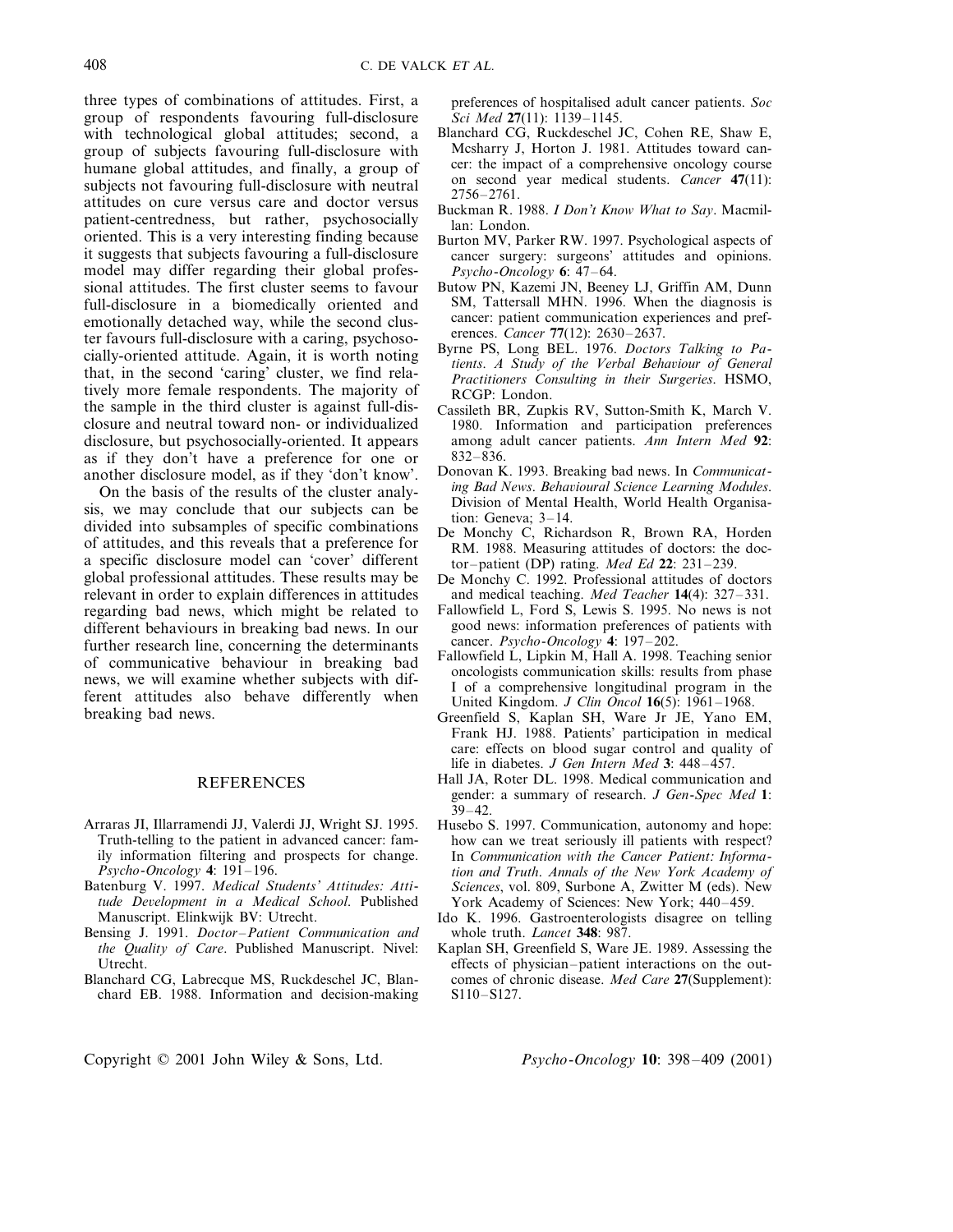three types of combinations of attitudes. First, a group of respondents favouring full-disclosure with technological global attitudes; second, a group of subjects favouring full-disclosure with humane global attitudes, and finally, a group of subjects not favouring full-disclosure with neutral attitudes on cure versus care and doctor versus patient-centredness, but rather, psychosocially oriented. This is a very interesting finding because it suggests that subjects favouring a full-disclosure model may differ regarding their global professional attitudes. The first cluster seems to favour full-disclosure in a biomedically oriented and emotionally detached way, while the second cluster favours full-disclosure with a caring, psychosocially-oriented attitude. Again, it is worth noting that, in the second 'caring' cluster, we find relatively more female respondents. The majority of the sample in the third cluster is against full-disclosure and neutral toward non- or individualized disclosure, but psychosocially-oriented. It appears as if they don't have a preference for one or another disclosure model, as if they 'don't know'.

On the basis of the results of the cluster analysis, we may conclude that our subjects can be divided into subsamples of specific combinations of attitudes, and this reveals that a preference for a specific disclosure model can 'cover' different global professional attitudes. These results may be relevant in order to explain differences in attitudes regarding bad news, which might be related to different behaviours in breaking bad news. In our further research line, concerning the determinants of communicative behaviour in breaking bad news, we will examine whether subjects with different attitudes also behave differently when breaking bad news.

#### REFERENCES

- Arraras JI, Illarramendi JJ, Valerdi JJ, Wright SJ. 1995. Truth-telling to the patient in advanced cancer: family information filtering and prospects for change. *Psycho*-*Oncology* **4**: 191–196.
- Batenburg V. 1997. *Medical Students*' *Attitudes*: *Attitude Deelopment in a Medical School*. Published Manuscript. Elinkwijk BV: Utrecht.
- Bensing J. 1991. *Doctor*–*Patient Communication and the Quality of Care*. Published Manuscript. Nivel: Utrecht.
- Blanchard CG, Labrecque MS, Ruckdeschel JC, Blanchard EB. 1988. Information and decision-making

preferences of hospitalised adult cancer patients. *Soc Sci Med* **27**(11): 1139–1145.

- Blanchard CG, Ruckdeschel JC, Cohen RE, Shaw E, Mcsharry J, Horton J. 1981. Attitudes toward cancer: the impact of a comprehensive oncology course on second year medical students. *Cancer* **47**(11): 2756–2761.
- Buckman R. 1988. *I Don*'*t Know What to Say*. Macmillan: London.
- Burton MV, Parker RW. 1997. Psychological aspects of cancer surgery: surgeons' attitudes and opinions. *Psycho*-*Oncology* **6**: 47–64.
- Butow PN, Kazemi JN, Beeney LJ, Griffin AM, Dunn SM, Tattersall MHN. 1996. When the diagnosis is cancer: patient communication experiences and preferences. *Cancer* **77**(12): 2630–2637.
- Byrne PS, Long BEL. 1976. *Doctors Talking to Patients*. *A Study of the Verbal Behaiour of General Practitioners Consulting in their Surgeries*. HSMO, RCGP: London.
- Cassileth BR, Zupkis RV, Sutton-Smith K, March V. 1980. Information and participation preferences among adult cancer patients. *Ann Intern Med* **92**: 832–836.
- Donovan K. 1993. Breaking bad news. In *Communicating Bad News*. *Behaioural Science Learning Modules*. Division of Mental Health, World Health Organisation: Geneva; 3–14.
- De Monchy C, Richardson R, Brown RA, Horden RM. 1988. Measuring attitudes of doctors: the doctor–patient (DP) rating. *Med Ed* **22**: 231–239.
- De Monchy C. 1992. Professional attitudes of doctors and medical teaching. *Med Teacher* **14**(4): 327–331.
- Fallowfield L, Ford S, Lewis S. 1995. No news is not good news: information preferences of patients with cancer. *Psycho*-*Oncology* **4**: 197–202.
- Fallowfield L, Lipkin M, Hall A. 1998. Teaching senior oncologists communication skills: results from phase I of a comprehensive longitudinal program in the United Kingdom. *J Clin Oncol* **16**(5): 1961–1968.
- Greenfield S, Kaplan SH, Ware Jr JE, Yano EM, Frank HJ. 1988. Patients' participation in medical care: effects on blood sugar control and quality of life in diabetes. *J Gen Intern Med* **3**: 448–457.
- Hall JA, Roter DL. 1998. Medical communication and gender: a summary of research. *J Gen*-*Spec Med* **1**: 39–42.
- Husebo S. 1997. Communication, autonomy and hope: how can we treat seriously ill patients with respect? In *Communication with the Cancer Patient*: *Information and Truth*. *Annals of the New York Academy of Sciences*, vol. 809, Surbone A, Zwitter M (eds). New York Academy of Sciences: New York; 440–459.
- Ido K. 1996. Gastroenterologists disagree on telling whole truth. *Lancet* **348**: 987.
- Kaplan SH, Greenfield S, Ware JE. 1989. Assessing the effects of physician–patient interactions on the outcomes of chronic disease. *Med Care* **27**(Supplement): S110–S127.